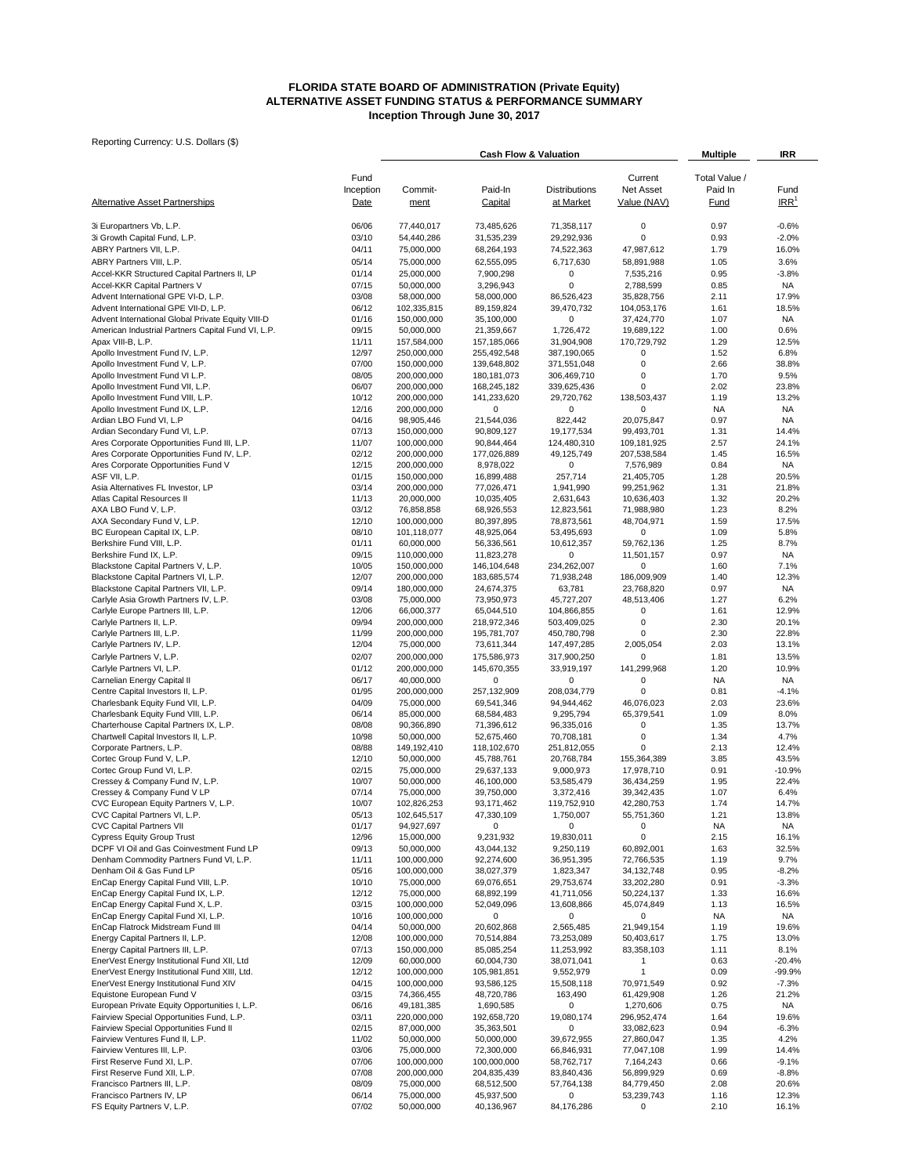#### **FLORIDA STATE BOARD OF ADMINISTRATION (Private Equity) ALTERNATIVE ASSET FUNDING STATUS & PERFORMANCE SUMMARY Inception Through June 30, 2017**

|                                                                               |                   |                            | <b>Cash Flow &amp; Valuation</b> |                            |                           | <b>Multiple</b>          | IRR              |  |
|-------------------------------------------------------------------------------|-------------------|----------------------------|----------------------------------|----------------------------|---------------------------|--------------------------|------------------|--|
|                                                                               |                   |                            |                                  |                            | Current                   |                          |                  |  |
|                                                                               | Fund<br>Inception | Commit-                    | Paid-In                          | Distributions              | Net Asset                 | Total Value /<br>Paid In | Fund             |  |
| <b>Alternative Asset Partnerships</b>                                         | Date              | ment                       | <b>Capital</b>                   | at Market                  | Value (NAV)               | Fund                     | IRR <sup>1</sup> |  |
|                                                                               |                   |                            |                                  |                            |                           |                          |                  |  |
| 3i Europartners Vb, L.P.                                                      | 06/06             | 77,440,017                 | 73,485,626                       | 71,358,117                 | $\mathbf 0$               | 0.97                     | $-0.6%$          |  |
| 3i Growth Capital Fund, L.P.                                                  | 03/10             | 54,440,286                 | 31,535,239                       | 29,292,936                 | 0                         | 0.93                     | $-2.0%$          |  |
| ABRY Partners VII, L.P.                                                       | 04/11             | 75,000,000                 | 68,264,193                       | 74,522,363                 | 47,987,612                | 1.79                     | 16.0%            |  |
| ABRY Partners VIII, L.P.                                                      | 05/14             | 75,000,000                 | 62,555,095                       | 6,717,630                  | 58,891,988                | 1.05                     | 3.6%             |  |
| Accel-KKR Structured Capital Partners II, LP                                  | 01/14             | 25,000,000                 | 7,900,298                        | 0                          | 7,535,216                 | 0.95                     | $-3.8%$          |  |
| Accel-KKR Capital Partners V                                                  | 07/15             | 50,000,000                 | 3,296,943                        | $\mathbf 0$                | 2,788,599                 | 0.85                     | NA               |  |
| Advent International GPE VI-D, L.P.                                           | 03/08             | 58,000,000                 | 58,000,000                       | 86,526,423                 | 35,828,756                | 2.11                     | 17.9%            |  |
| Advent International GPE VII-D, L.P.                                          | 06/12             | 102,335,815                | 89,159,824                       | 39,470,732                 | 104,053,176               | 1.61                     | 18.5%            |  |
| Advent International Global Private Equity VIII-D                             | 01/16             | 150,000,000                | 35,100,000                       | 0                          | 37,424,770                | 1.07                     | <b>NA</b>        |  |
| American Industrial Partners Capital Fund VI, L.P.                            | 09/15             | 50,000,000                 | 21,359,667                       | 1,726,472                  | 19,689,122                | 1.00                     | 0.6%             |  |
| Apax VIII-B, L.P.                                                             | 11/11             | 157,584,000                | 157,185,066                      | 31,904,908                 | 170,729,792               | 1.29                     | 12.5%            |  |
| Apollo Investment Fund IV, L.P.<br>Apollo Investment Fund V, L.P.             | 12/97<br>07/00    | 250,000,000<br>150,000,000 | 255,492,548<br>139,648,802       | 387,190,065<br>371,551,048 | 0<br>0                    | 1.52<br>2.66             | 6.8%<br>38.8%    |  |
| Apollo Investment Fund VI L.P.                                                | 08/05             | 200,000,000                | 180, 181, 073                    | 306,469,710                | 0                         | 1.70                     | 9.5%             |  |
| Apollo Investment Fund VII, L.P.                                              | 06/07             | 200,000,000                | 168,245,182                      | 339,625,436                | 0                         | 2.02                     | 23.8%            |  |
| Apollo Investment Fund VIII, L.P.                                             | 10/12             | 200,000,000                | 141,233,620                      | 29,720,762                 | 138,503,437               | 1.19                     | 13.2%            |  |
| Apollo Investment Fund IX, L.P.                                               | 12/16             | 200,000,000                | 0                                | 0                          | 0                         | <b>NA</b>                | <b>NA</b>        |  |
| Ardian LBO Fund VI, L.P                                                       | 04/16             | 98,905,446                 | 21,544,036                       | 822,442                    | 20,075,847                | 0.97                     | <b>NA</b>        |  |
| Ardian Secondary Fund VI, L.P.                                                | 07/13             | 150,000,000                | 90,809,127                       | 19,177,534                 | 99,493,701                | 1.31                     | 14.4%            |  |
| Ares Corporate Opportunities Fund III, L.P.                                   | 11/07             | 100,000,000                | 90,844,464                       | 124,480,310                | 109,181,925               | 2.57                     | 24.1%            |  |
| Ares Corporate Opportunities Fund IV, L.P.                                    | 02/12             | 200,000,000                | 177,026,889                      | 49,125,749                 | 207,538,584               | 1.45                     | 16.5%            |  |
| Ares Corporate Opportunities Fund V                                           | 12/15             | 200,000,000                | 8,978,022                        | 0                          | 7,576,989                 | 0.84                     | <b>NA</b>        |  |
| ASF VII, L.P.                                                                 | 01/15             | 150,000,000                | 16,899,488                       | 257,714                    | 21,405,705                | 1.28                     | 20.5%            |  |
| Asia Alternatives FL Investor, LP                                             | 03/14             | 200,000,000                | 77,026,471                       | 1,941,990                  | 99,251,962                | 1.31                     | 21.8%            |  |
| Atlas Capital Resources II                                                    | 11/13             | 20,000,000                 | 10,035,405                       | 2,631,643                  | 10,636,403                | 1.32                     | 20.2%            |  |
| AXA LBO Fund V, L.P.                                                          | 03/12             | 76,858,858                 | 68,926,553                       | 12,823,561                 | 71,988,980                | 1.23                     | 8.2%             |  |
| AXA Secondary Fund V, L.P.                                                    | 12/10             | 100,000,000                | 80,397,895                       | 78,873,561                 | 48,704,971                | 1.59                     | 17.5%            |  |
| BC European Capital IX, L.P.                                                  | 08/10             | 101,118,077                | 48,925,064                       | 53,495,693                 | 0                         | 1.09                     | 5.8%             |  |
| Berkshire Fund VIII, L.P.                                                     | 01/11             | 60,000,000                 | 56,336,561                       | 10,612,357                 | 59,762,136                | 1.25                     | 8.7%             |  |
| Berkshire Fund IX, L.P.                                                       | 09/15             | 110,000,000                | 11,823,278                       | 0                          | 11,501,157                | 0.97                     | NA               |  |
| Blackstone Capital Partners V, L.P.                                           | 10/05             | 150,000,000                | 146,104,648<br>183,685,574       | 234,262,007                | 0                         | 1.60                     | 7.1%             |  |
| Blackstone Capital Partners VI, L.P.<br>Blackstone Capital Partners VII, L.P. | 12/07<br>09/14    | 200,000,000<br>180,000,000 | 24,674,375                       | 71,938,248<br>63,781       | 186,009,909<br>23,768,820 | 1.40<br>0.97             | 12.3%<br>NA      |  |
| Carlyle Asia Growth Partners IV, L.P.                                         | 03/08             | 75,000,000                 | 73,950,973                       | 45,727,207                 | 48,513,406                | 1.27                     | 6.2%             |  |
| Carlyle Europe Partners III, L.P.                                             | 12/06             | 66,000,377                 | 65,044,510                       | 104,866,855                | $\mathbf 0$               | 1.61                     | 12.9%            |  |
| Carlyle Partners II, L.P.                                                     | 09/94             | 200,000,000                | 218,972,346                      | 503,409,025                | 0                         | 2.30                     | 20.1%            |  |
| Carlyle Partners III, L.P.                                                    | 11/99             | 200,000,000                | 195,781,707                      | 450,780,798                | 0                         | 2.30                     | 22.8%            |  |
| Carlyle Partners IV, L.P.                                                     | 12/04             | 75,000,000                 | 73,611,344                       | 147,497,285                | 2,005,054                 | 2.03                     | 13.1%            |  |
| Carlyle Partners V, L.P.                                                      | 02/07             | 200,000,000                | 175,586,973                      | 317,900,250                | 0                         | 1.81                     | 13.5%            |  |
| Carlyle Partners VI, L.P.                                                     | 01/12             | 200,000,000                | 145,670,355                      | 33,919,197                 | 141,299,968               | 1.20                     | 10.9%            |  |
| Carnelian Energy Capital II                                                   | 06/17             | 40,000,000                 | 0                                | 0                          | 0                         | <b>NA</b>                | <b>NA</b>        |  |
| Centre Capital Investors II, L.P.                                             | 01/95             | 200,000,000                | 257,132,909                      | 208,034,779                | $\mathbf 0$               | 0.81                     | $-4.1%$          |  |
| Charlesbank Equity Fund VII, L.P.                                             | 04/09             | 75,000,000                 | 69,541,346                       | 94,944,462                 | 46,076,023                | 2.03                     | 23.6%            |  |
| Charlesbank Equity Fund VIII, L.P.                                            | 06/14             | 85,000,000                 | 68,584,483                       | 9,295,794                  | 65,379,541                | 1.09                     | 8.0%             |  |
| Charterhouse Capital Partners IX, L.P.                                        | 08/08             | 90,366,890                 | 71,396,612                       | 96,335,016                 | $\mathbf 0$               | 1.35                     | 13.7%            |  |
| Chartwell Capital Investors II, L.P.                                          | 10/98             | 50,000,000                 | 52,675,460                       | 70,708,181                 | $\pmb{0}$                 | 1.34                     | 4.7%             |  |
| Corporate Partners, L.P.                                                      | 08/88             | 149,192,410                | 118,102,670                      | 251,812,055                | $\mathbf 0$               | 2.13                     | 12.4%            |  |
| Cortec Group Fund V, L.P.                                                     | 12/10             | 50,000,000                 | 45,788,761                       | 20,768,784                 | 155,364,389               | 3.85                     | 43.5%            |  |
| Cortec Group Fund VI, L.P.                                                    | 02/15             | 75,000,000                 | 29,637,133                       | 9,000,973                  | 17,978,710                | 0.91                     | $-10.9%$         |  |
| Cressey & Company Fund IV, L.P.                                               | 10/07             | 50,000,000                 | 46,100,000                       | 53,585,479                 | 36,434,259                | 1.95                     | 22.4%            |  |
| Cressey & Company Fund V LP<br>CVC European Equity Partners V, L.P.           | 07/14             | 75,000,000                 | 39,750,000<br>93,171,462         | 3,372,416<br>119,752,910   | 39,342,435<br>42,280,753  | 1.07<br>1.74             | 6.4%             |  |
| CVC Capital Partners VI, L.P.                                                 | 10/07<br>05/13    | 102,826,253<br>102,645,517 | 47,330,109                       | 1,750,007                  | 55,751,360                | 1.21                     | 14.7%<br>13.8%   |  |
| <b>CVC Capital Partners VII</b>                                               | 01/17             | 94,927,697                 | $\pmb{0}$                        | $\bf{0}$                   | $\pmb{0}$                 | <b>NA</b>                | <b>NA</b>        |  |
| <b>Cypress Equity Group Trust</b>                                             | 12/96             | 15,000,000                 | 9,231,932                        | 19,830,011                 | 0                         | 2.15                     | 16.1%            |  |
| DCPF VI Oil and Gas Coinvestment Fund LP                                      | 09/13             | 50,000,000                 | 43,044,132                       | 9,250,119                  | 60,892,001                | 1.63                     | 32.5%            |  |
| Denham Commodity Partners Fund VI, L.P.                                       | 11/11             | 100,000,000                | 92,274,600                       | 36,951,395                 | 72,766,535                | 1.19                     | 9.7%             |  |
| Denham Oil & Gas Fund LP                                                      | 05/16             | 100,000,000                | 38,027,379                       | 1,823,347                  | 34,132,748                | 0.95                     | $-8.2%$          |  |
| EnCap Energy Capital Fund VIII, L.P.                                          | 10/10             | 75,000,000                 | 69,076,651                       | 29,753,674                 | 33,202,280                | 0.91                     | $-3.3%$          |  |
| EnCap Energy Capital Fund IX, L.P.                                            | 12/12             | 75,000,000                 | 68,892,199                       | 41,711,056                 | 50,224,137                | 1.33                     | 16.6%            |  |
| EnCap Energy Capital Fund X, L.P.                                             | 03/15             | 100,000,000                | 52,049,096                       | 13,608,866                 | 45,074,849                | 1.13                     | 16.5%            |  |
| EnCap Energy Capital Fund XI, L.P.                                            | 10/16             | 100,000,000                | 0                                | 0                          | 0                         | <b>NA</b>                | NA               |  |
| EnCap Flatrock Midstream Fund III                                             | 04/14             | 50,000,000                 | 20,602,868                       | 2,565,485                  | 21,949,154                | 1.19                     | 19.6%            |  |
| Energy Capital Partners II, L.P.                                              | 12/08             | 100,000,000                | 70,514,884                       | 73,253,089                 | 50,403,617                | 1.75                     | 13.0%            |  |
| Energy Capital Partners III, L.P.                                             | 07/13             | 150,000,000                | 85,085,254                       | 11,253,992                 | 83,358,103                | 1.11                     | 8.1%             |  |
| EnerVest Energy Institutional Fund XII, Ltd                                   | 12/09             | 60,000,000                 | 60,004,730                       | 38,071,041                 | $\mathbf{1}$              | 0.63                     | $-20.4%$         |  |
| EnerVest Energy Institutional Fund XIII, Ltd.                                 | 12/12             | 100,000,000                | 105,981,851                      | 9,552,979                  | 1                         | 0.09                     | $-99.9%$         |  |
| EnerVest Energy Institutional Fund XIV                                        | 04/15             | 100,000,000                | 93,586,125                       | 15,508,118                 | 70,971,549                | 0.92                     | $-7.3%$          |  |
| Equistone European Fund V<br>European Private Equity Opportunities I, L.P.    | 03/15             | 74,366,455                 | 48,720,786                       | 163,490                    | 61,429,908                | 1.26                     | 21.2%            |  |
| Fairview Special Opportunities Fund, L.P.                                     | 06/16<br>03/11    | 49,181,385<br>220,000,000  | 1,690,585                        | 0<br>19,080,174            | 1,270,606<br>296,952,474  | 0.75<br>1.64             | NA<br>19.6%      |  |
| Fairview Special Opportunities Fund II                                        | 02/15             | 87,000,000                 | 192,658,720<br>35,363,501        | 0                          | 33,082,623                | 0.94                     | $-6.3%$          |  |
| Fairview Ventures Fund II, L.P.                                               | 11/02             | 50,000,000                 | 50,000,000                       | 39,672,955                 | 27,860,047                | 1.35                     | 4.2%             |  |
| Fairview Ventures III, L.P.                                                   | 03/06             | 75,000,000                 | 72,300,000                       | 66,846,931                 | 77,047,108                | 1.99                     | 14.4%            |  |
| First Reserve Fund XI, L.P.                                                   | 07/06             | 100,000,000                | 100,000,000                      | 58,762,717                 | 7,164,243                 | 0.66                     | $-9.1%$          |  |
| First Reserve Fund XII, L.P.                                                  | 07/08             | 200,000,000                | 204,835,439                      | 83,840,436                 | 56,899,929                | 0.69                     | $-8.8%$          |  |
| Francisco Partners III, L.P.                                                  | 08/09             | 75,000,000                 | 68,512,500                       | 57,764,138                 | 84,779,450                | 2.08                     | 20.6%            |  |
| Francisco Partners IV, LP                                                     | 06/14             | 75,000,000                 | 45,937,500                       | 0                          | 53,239,743                | 1.16                     | 12.3%            |  |
| FS Equity Partners V, L.P.                                                    | 07/02             | 50,000,000                 | 40,136,967                       | 84,176,286                 | 0                         | 2.10                     | 16.1%            |  |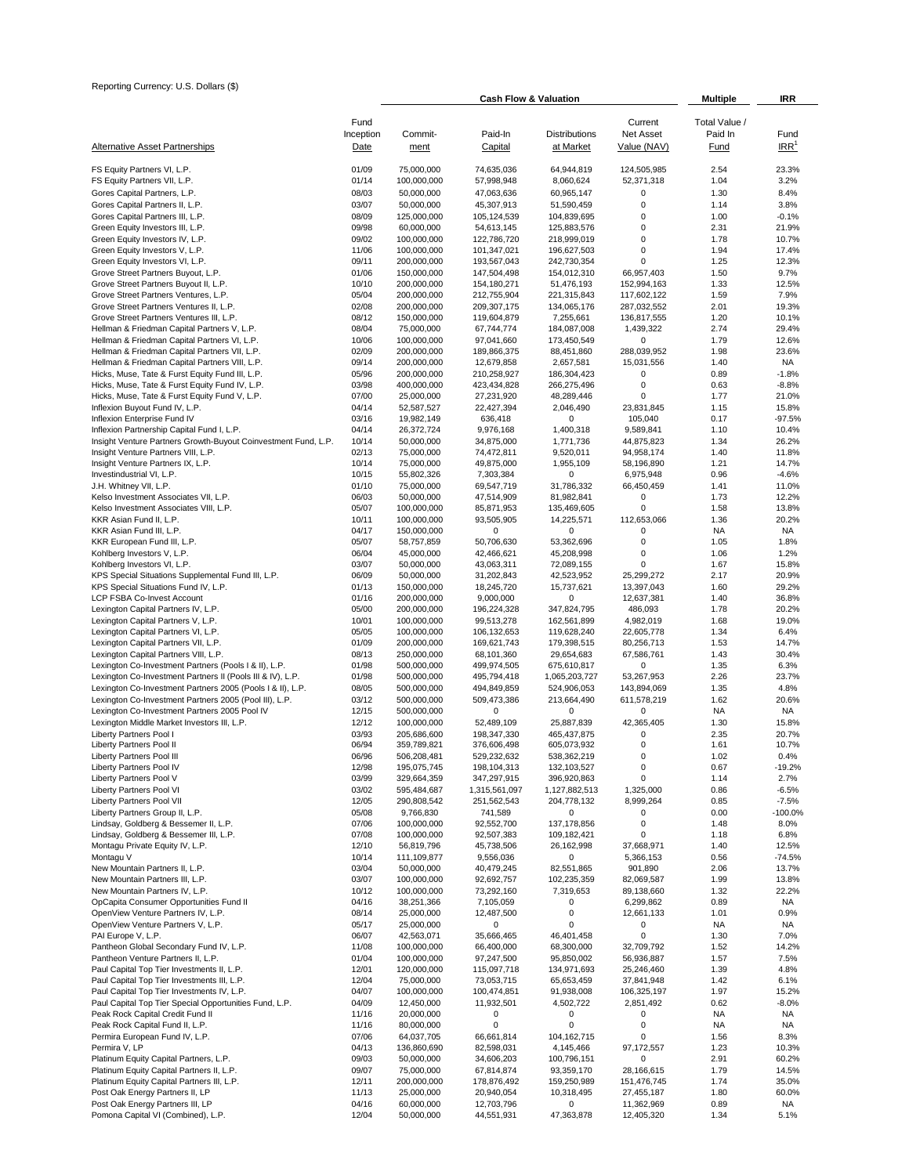| Reporting Currency: U.S. Dollars (\$)                                                          |                   |                            | <b>Cash Flow &amp; Valuation</b> |                            |                            | <b>Multiple</b>          | IRR                |
|------------------------------------------------------------------------------------------------|-------------------|----------------------------|----------------------------------|----------------------------|----------------------------|--------------------------|--------------------|
|                                                                                                |                   |                            |                                  |                            |                            |                          |                    |
|                                                                                                | Fund<br>Inception | Commit-                    | Paid-In                          | <b>Distributions</b>       | Current<br>Net Asset       | Total Value /<br>Paid In | Fund               |
| <b>Alternative Asset Partnerships</b>                                                          | Date              | ment                       | Capital                          | at Market                  | Value (NAV)                | Fund                     | IRR <sup>1</sup>   |
| FS Equity Partners VI, L.P.                                                                    | 01/09             | 75,000,000                 | 74,635,036                       | 64,944,819                 | 124,505,985                | 2.54                     | 23.3%              |
| FS Equity Partners VII, L.P.                                                                   | 01/14             | 100,000,000                | 57,998,948                       | 8,060,624                  | 52,371,318                 | 1.04                     | 3.2%               |
| Gores Capital Partners, L.P.<br>Gores Capital Partners II, L.P.                                | 08/03<br>03/07    | 50,000,000<br>50,000,000   | 47,063,636<br>45,307,913         | 60,965,147<br>51,590,459   | 0<br>$\bf{0}$              | 1.30<br>1.14             | 8.4%<br>3.8%       |
| Gores Capital Partners III, L.P.                                                               | 08/09             | 125,000,000                | 105,124,539                      | 104,839,695                | 0                          | 1.00                     | $-0.1%$            |
| Green Equity Investors III, L.P.                                                               | 09/98             | 60,000,000                 | 54,613,145                       | 125,883,576                | 0                          | 2.31                     | 21.9%              |
| Green Equity Investors IV, L.P.                                                                | 09/02             | 100,000,000                | 122,786,720                      | 218,999,019                | 0                          | 1.78                     | 10.7%              |
| Green Equity Investors V, L.P.<br>Green Equity Investors VI, L.P.                              | 11/06<br>09/11    | 100,000,000<br>200,000,000 | 101,347,021<br>193,567,043       | 196,627,503<br>242,730,354 | 0<br>0                     | 1.94<br>1.25             | 17.4%<br>12.3%     |
| Grove Street Partners Buyout, L.P.                                                             | 01/06             | 150,000,000                | 147,504,498                      | 154,012,310                | 66,957,403                 | 1.50                     | 9.7%               |
| Grove Street Partners Buyout II, L.P.                                                          | 10/10             | 200,000,000                | 154,180,271                      | 51,476,193                 | 152,994,163                | 1.33                     | 12.5%              |
| Grove Street Partners Ventures, L.P.<br>Grove Street Partners Ventures II, L.P.                | 05/04<br>02/08    | 200,000,000<br>200,000,000 | 212,755,904<br>209,307,175       | 221,315,843<br>134,065,176 | 117,602,122<br>287,032,552 | 1.59<br>2.01             | 7.9%<br>19.3%      |
| Grove Street Partners Ventures III, L.P.                                                       | 08/12             | 150,000,000                | 119,604,879                      | 7,255,661                  | 136,817,555                | 1.20                     | 10.1%              |
| Hellman & Friedman Capital Partners V, L.P.                                                    | 08/04             | 75,000,000                 | 67,744,774                       | 184,087,008                | 1,439,322                  | 2.74                     | 29.4%              |
| Hellman & Friedman Capital Partners VI, L.P.<br>Hellman & Friedman Capital Partners VII, L.P.  | 10/06<br>02/09    | 100,000,000<br>200,000,000 | 97,041,660<br>189,866,375        | 173,450,549<br>88,451,860  | 0<br>288,039,952           | 1.79<br>1.98             | 12.6%<br>23.6%     |
| Hellman & Friedman Capital Partners VIII, L.P.                                                 | 09/14             | 200,000,000                | 12,679,858                       | 2,657,581                  | 15,031,556                 | 1.40                     | <b>NA</b>          |
| Hicks, Muse, Tate & Furst Equity Fund III, L.P.                                                | 05/96             | 200,000,000                | 210,258,927                      | 186,304,423                | $\pmb{0}$                  | 0.89                     | $-1.8%$            |
| Hicks, Muse, Tate & Furst Equity Fund IV, L.P.                                                 | 03/98             | 400,000,000                | 423,434,828                      | 266,275,496                | 0                          | 0.63                     | $-8.8%$            |
| Hicks, Muse, Tate & Furst Equity Fund V, L.P.<br>Inflexion Buyout Fund IV, L.P.                | 07/00<br>04/14    | 25,000,000<br>52,587,527   | 27,231,920<br>22,427,394         | 48,289,446<br>2,046,490    | 0<br>23,831,845            | 1.77<br>1.15             | 21.0%<br>15.8%     |
| Inflexion Enterprise Fund IV                                                                   | 03/16             | 19,982,149                 | 636,418                          | 0                          | 105,040                    | 0.17                     | $-97.5%$           |
| Inflexion Partnership Capital Fund I, L.P.                                                     | 04/14             | 26,372,724                 | 9,976,168                        | 1,400,318                  | 9,589,841                  | 1.10                     | 10.4%              |
| Insight Venture Partners Growth-Buyout Coinvestment Fund, L.P.                                 | 10/14<br>02/13    | 50,000,000                 | 34,875,000                       | 1,771,736<br>9.520.011     | 44,875,823<br>94.958.174   | 1.34<br>1.40             | 26.2%<br>11.8%     |
| Insight Venture Partners VIII, L.P.<br>Insight Venture Partners IX, L.P.                       | 10/14             | 75,000,000<br>75,000,000   | 74,472,811<br>49,875,000         | 1,955,109                  | 58,196,890                 | 1.21                     | 14.7%              |
| Investindustrial VI, L.P.                                                                      | 10/15             | 55,802,326                 | 7,303,384                        | 0                          | 6,975,948                  | 0.96                     | $-4.6%$            |
| J.H. Whitney VII, L.P.                                                                         | 01/10             | 75,000,000                 | 69,547,719                       | 31,786,332                 | 66,450,459                 | 1.41                     | 11.0%              |
| Kelso Investment Associates VII, L.P.<br>Kelso Investment Associates VIII, L.P.                | 06/03<br>05/07    | 50,000,000<br>100,000,000  | 47,514,909<br>85,871,953         | 81,982,841<br>135,469,605  | 0<br>0                     | 1.73<br>1.58             | 12.2%<br>13.8%     |
| KKR Asian Fund II, L.P.                                                                        | 10/11             | 100,000,000                | 93,505,905                       | 14,225,571                 | 112,653,066                | 1.36                     | 20.2%              |
| KKR Asian Fund III, L.P.                                                                       | 04/17             | 150,000,000                | 0                                | 0                          | 0                          | <b>NA</b>                | <b>NA</b>          |
| KKR European Fund III, L.P.                                                                    | 05/07<br>06/04    | 58,757,859                 | 50,706,630                       | 53,362,696                 | $\mathbf 0$<br>0           | 1.05<br>1.06             | 1.8%<br>1.2%       |
| Kohlberg Investors V, L.P.<br>Kohlberg Investors VI, L.P.                                      | 03/07             | 45,000,000<br>50,000,000   | 42,466,621<br>43,063,311         | 45,208,998<br>72,089,155   | 0                          | 1.67                     | 15.8%              |
| KPS Special Situations Supplemental Fund III, L.P.                                             | 06/09             | 50,000,000                 | 31,202,843                       | 42,523,952                 | 25,299,272                 | 2.17                     | 20.9%              |
| KPS Special Situations Fund IV, L.P.                                                           | 01/13             | 150,000,000                | 18,245,720                       | 15,737,621                 | 13,397,043                 | 1.60                     | 29.2%              |
| LCP FSBA Co-Invest Account<br>Lexington Capital Partners IV, L.P.                              | 01/16<br>05/00    | 200,000,000<br>200,000,000 | 9,000,000<br>196,224,328         | 0<br>347,824,795           | 12,637,381<br>486,093      | 1.40<br>1.78             | 36.8%<br>20.2%     |
| Lexington Capital Partners V, L.P.                                                             | 10/01             | 100,000,000                | 99,513,278                       | 162,561,899                | 4,982,019                  | 1.68                     | 19.0%              |
| Lexington Capital Partners VI, L.P.                                                            | 05/05             | 100,000,000                | 106,132,653                      | 119,628,240                | 22,605,778                 | 1.34                     | 6.4%               |
| Lexington Capital Partners VII, L.P.                                                           | 01/09             | 200,000,000                | 169,621,743                      | 179,398,515                | 80,256,713                 | 1.53                     | 14.7%              |
| Lexington Capital Partners VIII, L.P.<br>Lexington Co-Investment Partners (Pools I & II), L.P. | 08/13<br>01/98    | 250,000,000<br>500,000,000 | 68,101,360<br>499,974,505        | 29,654,683<br>675,610,817  | 67,586,761<br>0            | 1.43<br>1.35             | 30.4%<br>6.3%      |
| Lexington Co-Investment Partners II (Pools III & IV), L.P.                                     | 01/98             | 500,000,000                | 495,794,418                      | 1,065,203,727              | 53,267,953                 | 2.26                     | 23.7%              |
| Lexington Co-Investment Partners 2005 (Pools I & II), L.P.                                     | 08/05             | 500,000,000                | 494,849,859                      | 524,906,053                | 143,894,069                | 1.35                     | 4.8%               |
| Lexington Co-Investment Partners 2005 (Pool III), L.P.                                         | 03/12             | 500,000,000                | 509,473,386                      | 213,664,490                | 611,578,219                | 1.62                     | 20.6%              |
| Lexington Co-Investment Partners 2005 Pool IV<br>Lexington Middle Market Investors III, L.P.   | 12/15<br>12/12    | 500,000,000<br>100,000,000 | 0<br>52,489,109                  | $\mathbf 0$<br>25,887,839  | 0<br>42,365,405            | <b>NA</b><br>1.30        | <b>NA</b><br>15.8% |
| Liberty Partners Pool I                                                                        | 03/93             | 205,686,600                | 198,347,330                      | 465, 437, 875              | 0                          | 2.35                     | 20.7%              |
| Liberty Partners Pool II                                                                       | 06/94             | 359,789,821                | 376,606,498                      | 605,073,932                | 0                          | 1.61                     | 10.7%              |
| Liberty Partners Pool III<br>Liberty Partners Pool IV                                          | 06/96<br>12/98    | 506,208,481<br>195,075,745 | 529,232,632<br>198,104,313       | 538,362,219<br>132,103,527 | 0<br>0                     | 1.02<br>0.67             | 0.4%<br>$-19.2%$   |
| Liberty Partners Pool V                                                                        | 03/99             | 329,664,359                | 347,297,915                      | 396,920,863                | 0                          | 1.14                     | 2.7%               |
| Liberty Partners Pool VI                                                                       | 03/02             | 595,484,687                | 1,315,561,097                    | 1,127,882,513              | 1,325,000                  | 0.86                     | $-6.5%$            |
| Liberty Partners Pool VII                                                                      | 12/05             | 290,808,542                | 251,562,543                      | 204,778,132                | 8,999,264                  | 0.85                     | $-7.5%$            |
| Liberty Partners Group II, L.P.<br>Lindsay, Goldberg & Bessemer II, L.P.                       | 05/08<br>07/06    | 9,766,830<br>100,000,000   | 741,589<br>92,552,700            | 0<br>137, 178, 856         | 0<br>0                     | 0.00<br>1.48             | -100.0%<br>8.0%    |
| Lindsay, Goldberg & Bessemer III, L.P.                                                         | 07/08             | 100,000,000                | 92,507,383                       | 109,182,421                | 0                          | 1.18                     | 6.8%               |
| Montagu Private Equity IV, L.P.                                                                | 12/10             | 56,819,796                 | 45,738,506                       | 26,162,998                 | 37,668,971                 | 1.40                     | 12.5%              |
| Montagu V<br>New Mountain Partners II, L.P.                                                    | 10/14<br>03/04    | 111,109,877                | 9,556,036                        | 0                          | 5,366,153<br>901,890       | 0.56<br>2.06             | $-74.5%$           |
| New Mountain Partners III, L.P.                                                                | 03/07             | 50,000,000<br>100,000,000  | 40,479,245<br>92,692,757         | 82,551,865<br>102,235,359  | 82,069,587                 | 1.99                     | 13.7%<br>13.8%     |
| New Mountain Partners IV, L.P.                                                                 | 10/12             | 100,000,000                | 73,292,160                       | 7,319,653                  | 89,138,660                 | 1.32                     | 22.2%              |
| OpCapita Consumer Opportunities Fund II                                                        | 04/16             | 38,251,366                 | 7,105,059                        | 0                          | 6,299,862                  | 0.89                     | <b>NA</b>          |
| OpenView Venture Partners IV, L.P.<br>OpenView Venture Partners V, L.P.                        | 08/14<br>05/17    | 25,000,000<br>25,000,000   | 12,487,500<br>0                  | $\pmb{0}$<br>0             | 12,661,133<br>0            | 1.01<br>NA               | 0.9%<br>NA         |
| PAI Europe V, L.P.                                                                             | 06/07             | 42,563,071                 | 35,666,465                       | 46,401,458                 | 0                          | 1.30                     | 7.0%               |
| Pantheon Global Secondary Fund IV, L.P.                                                        | 11/08             | 100,000,000                | 66,400,000                       | 68,300,000                 | 32,709,792                 | 1.52                     | 14.2%              |
| Pantheon Venture Partners II, L.P.                                                             | 01/04             | 100,000,000                | 97,247,500                       | 95,850,002                 | 56,936,887                 | 1.57                     | 7.5%               |
| Paul Capital Top Tier Investments II, L.P.<br>Paul Capital Top Tier Investments III, L.P.      | 12/01<br>12/04    | 120,000,000<br>75,000,000  | 115,097,718<br>73,053,715        | 134,971,693<br>65,653,459  | 25,246,460<br>37,841,948   | 1.39<br>1.42             | 4.8%<br>6.1%       |
| Paul Capital Top Tier Investments IV, L.P.                                                     | 04/07             | 100,000,000                | 100,474,851                      | 91,938,008                 | 106,325,197                | 1.97                     | 15.2%              |
| Paul Capital Top Tier Special Opportunities Fund, L.P.                                         | 04/09             | 12,450,000                 | 11,932,501                       | 4,502,722                  | 2,851,492                  | 0.62                     | $-8.0%$            |
| Peak Rock Capital Credit Fund II                                                               | 11/16             | 20,000,000                 | 0                                | 0                          | 0                          | <b>NA</b>                | NA                 |
| Peak Rock Capital Fund II, L.P.<br>Permira European Fund IV, L.P.                              | 11/16<br>07/06    | 80,000,000<br>64,037,705   | 0<br>66,661,814                  | 0<br>104, 162, 715         | 0<br>0                     | <b>NA</b><br>1.56        | <b>NA</b><br>8.3%  |
| Permira V, LP                                                                                  | 04/13             | 136,860,690                | 82,598,031                       | 4,145,466                  | 97,172,557                 | 1.23                     | 10.3%              |
| Platinum Equity Capital Partners, L.P.                                                         | 09/03             | 50,000,000                 | 34,606,203                       | 100,796,151                | 0                          | 2.91                     | 60.2%              |
| Platinum Equity Capital Partners II, L.P.<br>Platinum Equity Capital Partners III, L.P.        | 09/07<br>12/11    | 75,000,000<br>200,000,000  | 67,814,874<br>178,876,492        | 93,359,170<br>159,250,989  | 28,166,615<br>151,476,745  | 1.79<br>1.74             | 14.5%<br>35.0%     |
| Post Oak Energy Partners II, LP                                                                | 11/13             | 25,000,000                 | 20,940,054                       | 10,318,495                 | 27,455,187                 | 1.80                     | 60.0%              |
| Post Oak Energy Partners III, LP                                                               | 04/16             | 60,000,000                 | 12,703,796                       | 0                          | 11,362,969                 | 0.89                     | NA                 |
| Pomona Capital VI (Combined), L.P.                                                             | 12/04             | 50,000,000                 | 44,551,931                       | 47,363,878                 | 12,405,320                 | 1.34                     | 5.1%               |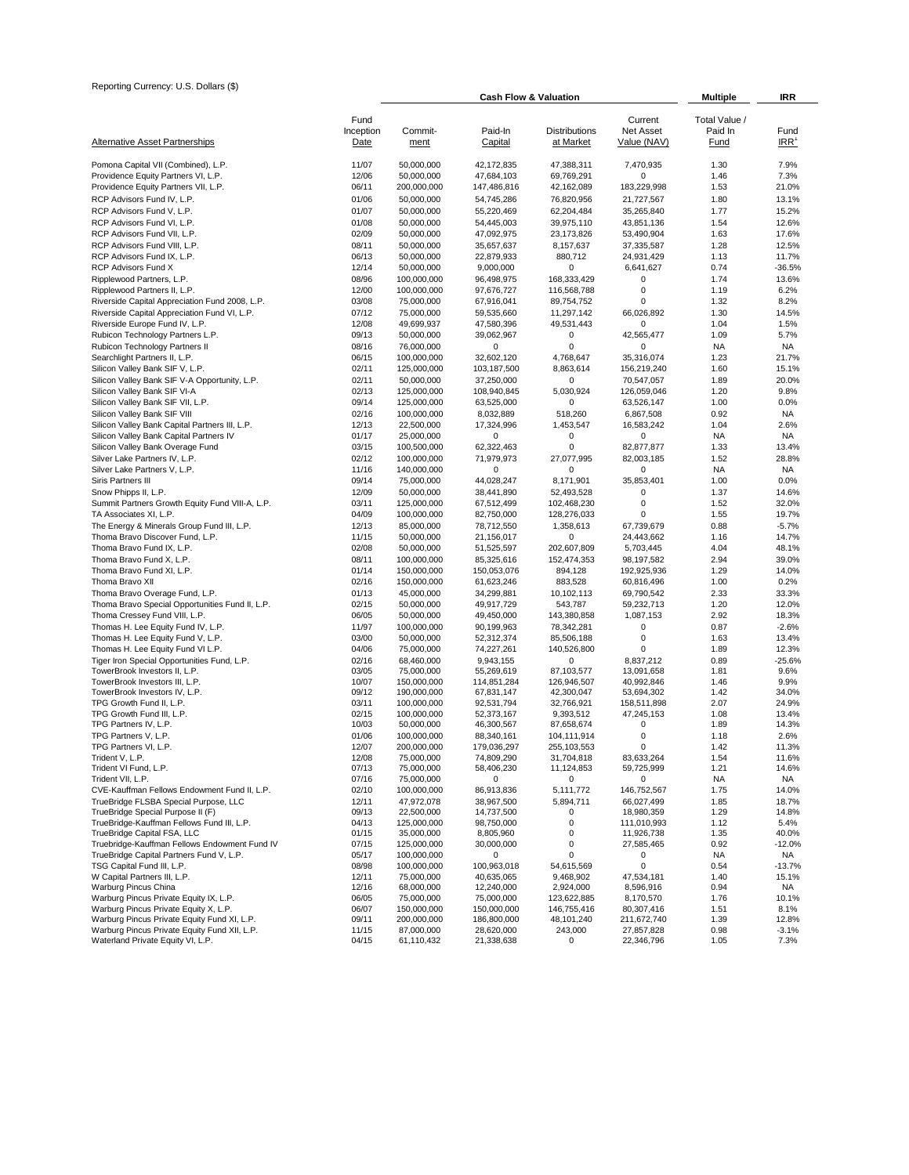| Reporting Currency: U.S. Dollars (\$)                                            |                           |                            | <b>Cash Flow &amp; Valuation</b> | <b>Multiple</b>                   | IRR                                        |                                  |                          |
|----------------------------------------------------------------------------------|---------------------------|----------------------------|----------------------------------|-----------------------------------|--------------------------------------------|----------------------------------|--------------------------|
| <b>Alternative Asset Partnerships</b>                                            | Fund<br>Inception<br>Date | Commit-<br>ment            | Paid-In<br>Capital               | <b>Distributions</b><br>at Market | Current<br><b>Net Asset</b><br>Value (NAV) | Total Value /<br>Paid In<br>Fund | Fund<br>IRR <sup>1</sup> |
| Pomona Capital VII (Combined), L.P.                                              | 11/07                     | 50,000,000                 | 42,172,835                       | 47,388,311                        | 7,470,935                                  | 1.30                             | 7.9%                     |
| Providence Equity Partners VI, L.P.                                              | 12/06                     | 50,000,000                 | 47,684,103                       | 69,769,291                        | 0                                          | 1.46                             | 7.3%                     |
| Providence Equity Partners VII, L.P.                                             | 06/11                     | 200,000,000                | 147,486,816                      | 42,162,089                        | 183,229,998                                | 1.53                             | 21.0%                    |
| RCP Advisors Fund IV, L.P.                                                       | 01/06                     | 50,000,000                 | 54,745,286                       | 76,820,956                        | 21,727,567                                 | 1.80                             | 13.1%                    |
| RCP Advisors Fund V, L.P.                                                        | 01/07                     | 50,000,000                 | 55,220,469                       | 62,204,484                        | 35,265,840                                 | 1.77                             | 15.2%                    |
| RCP Advisors Fund VI, L.P.                                                       | 01/08                     | 50,000,000                 | 54,445,003                       | 39,975,110                        | 43,851,136                                 | 1.54                             | 12.6%                    |
| RCP Advisors Fund VII, L.P.<br>RCP Advisors Fund VIII, L.P.                      | 02/09<br>08/11            | 50,000,000<br>50,000,000   | 47,092,975<br>35,657,637         | 23,173,826<br>8,157,637           | 53,490,904<br>37,335,587                   | 1.63<br>1.28                     | 17.6%<br>12.5%           |
| RCP Advisors Fund IX, L.P.                                                       | 06/13                     | 50,000,000                 | 22,879,933                       | 880,712                           | 24,931,429                                 | 1.13                             | 11.7%                    |
| RCP Advisors Fund X                                                              | 12/14                     | 50,000,000                 | 9,000,000                        | 0                                 | 6,641,627                                  | 0.74                             | $-36.5%$                 |
| Ripplewood Partners, L.P.                                                        | 08/96                     | 100,000,000                | 96,498,975                       | 168,333,429                       | 0                                          | 1.74                             | 13.6%                    |
| Ripplewood Partners II, L.P.                                                     | 12/00                     | 100,000,000                | 97,676,727                       | 116,568,788                       | 0                                          | 1.19                             | 6.2%                     |
| Riverside Capital Appreciation Fund 2008, L.P.                                   | 03/08                     | 75,000,000                 | 67,916,041                       | 89,754,752                        | 0                                          | 1.32                             | 8.2%                     |
| Riverside Capital Appreciation Fund VI, L.P.                                     | 07/12                     | 75,000,000                 | 59,535,660                       | 11,297,142                        | 66,026,892                                 | 1.30                             | 14.5%                    |
| Riverside Europe Fund IV, L.P.<br>Rubicon Technology Partners L.P.               | 12/08<br>09/13            | 49,699,937<br>50,000,000   | 47,580,396<br>39,062,967         | 49,531,443<br>0                   | 0<br>42,565,477                            | 1.04<br>1.09                     | 1.5%<br>5.7%             |
| Rubicon Technology Partners II                                                   | 08/16                     | 76,000,000                 | 0                                | 0                                 | 0                                          | <b>NA</b>                        | <b>NA</b>                |
| Searchlight Partners II, L.P.                                                    | 06/15                     | 100,000,000                | 32,602,120                       | 4,768,647                         | 35,316,074                                 | 1.23                             | 21.7%                    |
| Silicon Valley Bank SIF V, L.P.                                                  | 02/11                     | 125,000,000                | 103,187,500                      | 8,863,614                         | 156,219,240                                | 1.60                             | 15.1%                    |
| Silicon Valley Bank SIF V-A Opportunity, L.P.                                    | 02/11                     | 50,000,000                 | 37,250,000                       | 0                                 | 70,547,057                                 | 1.89                             | 20.0%                    |
| Silicon Valley Bank SIF VI-A                                                     | 02/13                     | 125,000,000                | 108,940,845                      | 5,030,924                         | 126,059,046                                | 1.20                             | 9.8%                     |
| Silicon Valley Bank SIF VII, L.P.                                                | 09/14                     | 125,000,000                | 63,525,000                       | 0                                 | 63,526,147                                 | 1.00                             | 0.0%                     |
| Silicon Valley Bank SIF VIII<br>Silicon Valley Bank Capital Partners III, L.P.   | 02/16<br>12/13            | 100,000,000<br>22,500,000  | 8,032,889<br>17,324,996          | 518,260<br>1,453,547              | 6,867,508<br>16,583,242                    | 0.92<br>1.04                     | <b>NA</b><br>2.6%        |
| Silicon Valley Bank Capital Partners IV                                          | 01/17                     | 25,000,000                 | 0                                | 0                                 | 0                                          | NA                               | <b>NA</b>                |
| Silicon Valley Bank Overage Fund                                                 | 03/15                     | 100,500,000                | 62.322.463                       | $\mathbf 0$                       | 82,877,877                                 | 1.33                             | 13.4%                    |
| Silver Lake Partners IV, L.P.                                                    | 02/12                     | 100,000,000                | 71,979,973                       | 27,077,995                        | 82,003,185                                 | 1.52                             | 28.8%                    |
| Silver Lake Partners V, L.P.                                                     | 11/16                     | 140,000,000                | 0                                | 0                                 | 0                                          | <b>NA</b>                        | <b>NA</b>                |
| Siris Partners III                                                               | 09/14                     | 75,000,000                 | 44,028,247                       | 8,171,901                         | 35.853.401                                 | 1.00                             | 0.0%                     |
| Snow Phipps II, L.P.                                                             | 12/09                     | 50,000,000                 | 38,441,890                       | 52,493,528                        | 0                                          | 1.37                             | 14.6%                    |
| Summit Partners Growth Equity Fund VIII-A, L.P.<br>TA Associates XI, L.P.        | 03/11<br>04/09            | 125,000,000<br>100,000,000 | 67,512,499<br>82,750,000         | 102,468,230                       | 0<br>$\mathbf 0$                           | 1.52<br>1.55                     | 32.0%<br>19.7%           |
| The Energy & Minerals Group Fund III, L.P.                                       | 12/13                     | 85,000,000                 | 78,712,550                       | 128,276,033<br>1,358,613          | 67,739,679                                 | 0.88                             | $-5.7%$                  |
| Thoma Bravo Discover Fund, L.P.                                                  | 11/15                     | 50,000,000                 | 21,156,017                       | 0                                 | 24,443,662                                 | 1.16                             | 14.7%                    |
| Thoma Bravo Fund IX, L.P.                                                        | 02/08                     | 50,000,000                 | 51,525,597                       | 202,607,809                       | 5,703,445                                  | 4.04                             | 48.1%                    |
| Thoma Bravo Fund X, L.P.                                                         | 08/11                     | 100,000,000                | 85,325,616                       | 152,474,353                       | 98,197,582                                 | 2.94                             | 39.0%                    |
| Thoma Bravo Fund XI, L.P.                                                        | 01/14                     | 150,000,000                | 150,053,076                      | 894,128                           | 192,925,936                                | 1.29                             | 14.0%                    |
| Thoma Bravo XII                                                                  | 02/16                     | 150,000,000                | 61,623,246                       | 883,528                           | 60,816,496                                 | 1.00                             | 0.2%                     |
| Thoma Bravo Overage Fund, L.P.                                                   | 01/13<br>02/15            | 45,000,000                 | 34,299,881                       | 10,102,113                        | 69,790,542                                 | 2.33                             | 33.3%<br>12.0%           |
| Thoma Bravo Special Opportunities Fund II, L.P.<br>Thoma Cressey Fund VIII, L.P. | 06/05                     | 50,000,000<br>50,000,000   | 49,917,729<br>49,450,000         | 543,787<br>143,380,858            | 59,232,713<br>1,087,153                    | 1.20<br>2.92                     | 18.3%                    |
| Thomas H. Lee Equity Fund IV, L.P.                                               | 11/97                     | 100,000,000                | 90,199,963                       | 78,342,281                        | 0                                          | 0.87                             | $-2.6%$                  |
| Thomas H. Lee Equity Fund V, L.P.                                                | 03/00                     | 50,000,000                 | 52,312,374                       | 85,506,188                        | $\pmb{0}$                                  | 1.63                             | 13.4%                    |
| Thomas H. Lee Equity Fund VI L.P.                                                | 04/06                     | 75,000,000                 | 74,227,261                       | 140,526,800                       | 0                                          | 1.89                             | 12.3%                    |
| Tiger Iron Special Opportunities Fund, L.P.                                      | 02/16                     | 68.460.000                 | 9,943,155                        | 0                                 | 8,837,212                                  | 0.89                             | $-25.6%$                 |
| TowerBrook Investors II, L.P.                                                    | 03/05                     | 75,000,000                 | 55,269,619                       | 87,103,577                        | 13,091,658                                 | 1.81                             | 9.6%                     |
| TowerBrook Investors III, L.P.<br>TowerBrook Investors IV, L.P.                  | 10/07<br>09/12            | 150,000,000<br>190,000,000 | 114,851,284<br>67,831,147        | 126,946,507<br>42,300,047         | 40,992,846<br>53,694,302                   | 1.46<br>1.42                     | 9.9%<br>34.0%            |
| TPG Growth Fund II, L.P.                                                         | 03/11                     | 100,000,000                | 92,531,794                       | 32,766,921                        | 158,511,898                                | 2.07                             | 24.9%                    |
| TPG Growth Fund III, L.P.                                                        | 02/15                     | 100,000,000                | 52,373,167                       | 9,393,512                         | 47,245,153                                 | 1.08                             | 13.4%                    |
| TPG Partners IV, L.P.                                                            | 10/03                     | 50,000,000                 | 46,300,567                       | 87,658,674                        | 0                                          | 1.89                             | 14.3%                    |
| TPG Partners V, L.P.                                                             | 01/06                     | 100,000,000                | 88,340,161                       | 104,111,914                       | $\pmb{0}$                                  | 1.18                             | 2.6%                     |
| TPG Partners VI, L.P.<br>Trident V, L.P.                                         | 12/07<br>12/08            | 200,000,000<br>75,000,000  | 179,036,297<br>74,809,290        | 255, 103, 553<br>31,704,818       | 0<br>83,633,264                            | 1.42<br>1.54                     | 11.3%<br>11.6%           |
| Trident VI Fund, L.P.                                                            | 07/13                     | 75,000,000                 | 58,406,230                       | 11,124,853                        | 59,725,999                                 | 1.21                             | 14.6%                    |
| Trident VII, L.P.                                                                | 07/16                     | 75,000,000                 | 0                                | 0                                 | 0                                          | <b>NA</b>                        | NA                       |
| CVE-Kauffman Fellows Endowment Fund II, L.P.                                     | 02/10                     | 100,000,000                | 86,913,836                       | 5,111,772                         | 146,752,567                                | 1.75                             | 14.0%                    |
| TrueBridge FLSBA Special Purpose, LLC                                            | 12/11                     | 47,972,078                 | 38,967,500                       | 5,894,711                         | 66,027,499                                 | 1.85                             | 18.7%                    |
| TrueBridge Special Purpose II (F)<br>TrueBridge-Kauffman Fellows Fund III, L.P.  | 09/13<br>04/13            | 22,500,000<br>125,000,000  | 14,737,500                       | 0<br>0                            | 18,980,359                                 | 1.29<br>1.12                     | 14.8%<br>5.4%            |
| TrueBridge Capital FSA, LLC                                                      | 01/15                     | 35,000,000                 | 98,750,000<br>8,805,960          | 0                                 | 111,010,993<br>11,926,738                  | 1.35                             | 40.0%                    |
| Truebridge-Kauffman Fellows Endowment Fund IV                                    | 07/15                     | 125,000,000                | 30,000,000                       | 0                                 | 27,585,465                                 | 0.92                             | $-12.0%$                 |
| TrueBridge Capital Partners Fund V, L.P.                                         | 05/17                     | 100,000,000                | 0                                | 0                                 | 0                                          | NA                               | NA                       |
| TSG Capital Fund III, L.P.                                                       | 08/98                     | 100.000.000                | 100,963,018                      | 54,615,569                        | 0                                          | 0.54                             | $-13.7%$                 |
| W Capital Partners III, L.P.                                                     | 12/11                     | 75,000,000                 | 40,635,065                       | 9,468,902                         | 47,534,181                                 | 1.40                             | 15.1%                    |
| Warburg Pincus China<br>Warburg Pincus Private Equity IX, L.P.                   | 12/16<br>06/05            | 68,000,000<br>75,000,000   | 12,240,000<br>75,000,000         | 2,924,000<br>123,622,885          | 8,596,916<br>8,170,570                     | 0.94<br>1.76                     | NA<br>10.1%              |
| Warburg Pincus Private Equity X, L.P.                                            | 06/07                     | 150,000,000                | 150,000,000                      | 146,755,416                       | 80,307,416                                 | 1.51                             | 8.1%                     |
| Warburg Pincus Private Equity Fund XI, L.P.                                      | 09/11                     | 200,000,000                | 186,800,000                      | 48,101,240                        | 211,672,740                                | 1.39                             | 12.8%                    |
| Warburg Pincus Private Equity Fund XII, L.P.                                     | 11/15                     | 87,000,000                 | 28,620,000                       | 243,000                           | 27,857,828                                 | 0.98                             | $-3.1%$                  |
| Waterland Private Equity VI, L.P.                                                | 04/15                     | 61,110,432                 | 21,338,638                       | 0                                 | 22,346,796                                 | 1.05                             | 7.3%                     |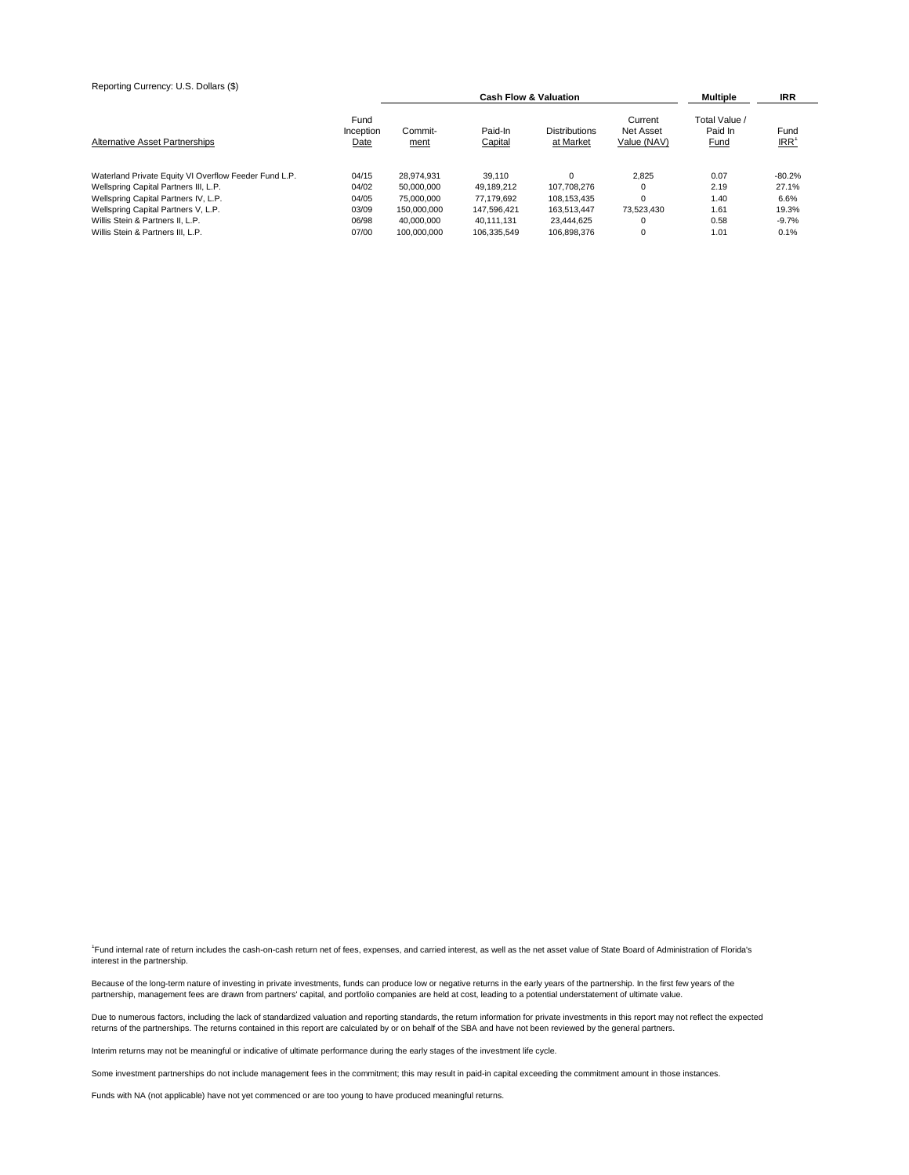| Reporting Currency: U.S. Dollars (\$)                 |                           | Multiple        | <b>IRR</b>         |                                   |                                     |                                         |                          |
|-------------------------------------------------------|---------------------------|-----------------|--------------------|-----------------------------------|-------------------------------------|-----------------------------------------|--------------------------|
| Alternative Asset Partnerships                        | Fund<br>Inception<br>Date | Commit-<br>ment | Paid-In<br>Capital | <b>Distributions</b><br>at Market | Current<br>Net Asset<br>Value (NAV) | Total Value /<br>Paid In<br><b>Fund</b> | Fund<br>IRR <sup>1</sup> |
| Waterland Private Equity VI Overflow Feeder Fund L.P. | 04/15                     | 28.974.931      | 39.110             | $\Omega$                          | 2.825                               | 0.07                                    | $-80.2%$                 |
| Wellspring Capital Partners III, L.P.                 | 04/02                     | 50.000.000      | 49.189.212         | 107.708.276                       |                                     | 2.19                                    | 27.1%                    |
| Wellspring Capital Partners IV, L.P.                  | 04/05                     | 75,000,000      | 77.179.692         | 108.153.435                       |                                     | 1.40                                    | 6.6%                     |
| Wellspring Capital Partners V, L.P.                   | 03/09                     | 150.000.000     | 147.596.421        | 163.513.447                       | 73.523.430                          | 1.61                                    | 19.3%                    |
| Willis Stein & Partners II. L.P.                      | 06/98                     | 40.000.000      | 40.111.131         | 23.444.625                        |                                     | 0.58                                    | $-9.7%$                  |
| Willis Stein & Partners III. L.P.                     | 07/00                     | 100.000.000     | 106.335.549        | 106.898.376                       |                                     | 1.01                                    | 0.1%                     |

<sup>1</sup>Fund internal rate of return includes the cash-on-cash return net of fees, expenses, and carried interest, as well as the net asset value of State Board of Administration of Florida's interest in the partnership.

Because of the long-term nature of investing in private investments, funds can produce low or negative returns in the early years of the partnership. In the first few years of the partnership, management fees are drawn from partners' capital, and portfolio companies are held at cost, leading to a potential understatement of ultimate value.

Due to numerous factors, including the lack of standardized valuation and reporting standards, the return information for private investments in this report may not reflect the expected<br>returns of the partnerships. The ret

Interim returns may not be meaningful or indicative of ultimate performance during the early stages of the investment life cycle.

Some investment partnerships do not include management fees in the commitment; this may result in paid-in capital exceeding the commitment amount in those instances.

Funds with NA (not applicable) have not yet commenced or are too young to have produced meaningful returns.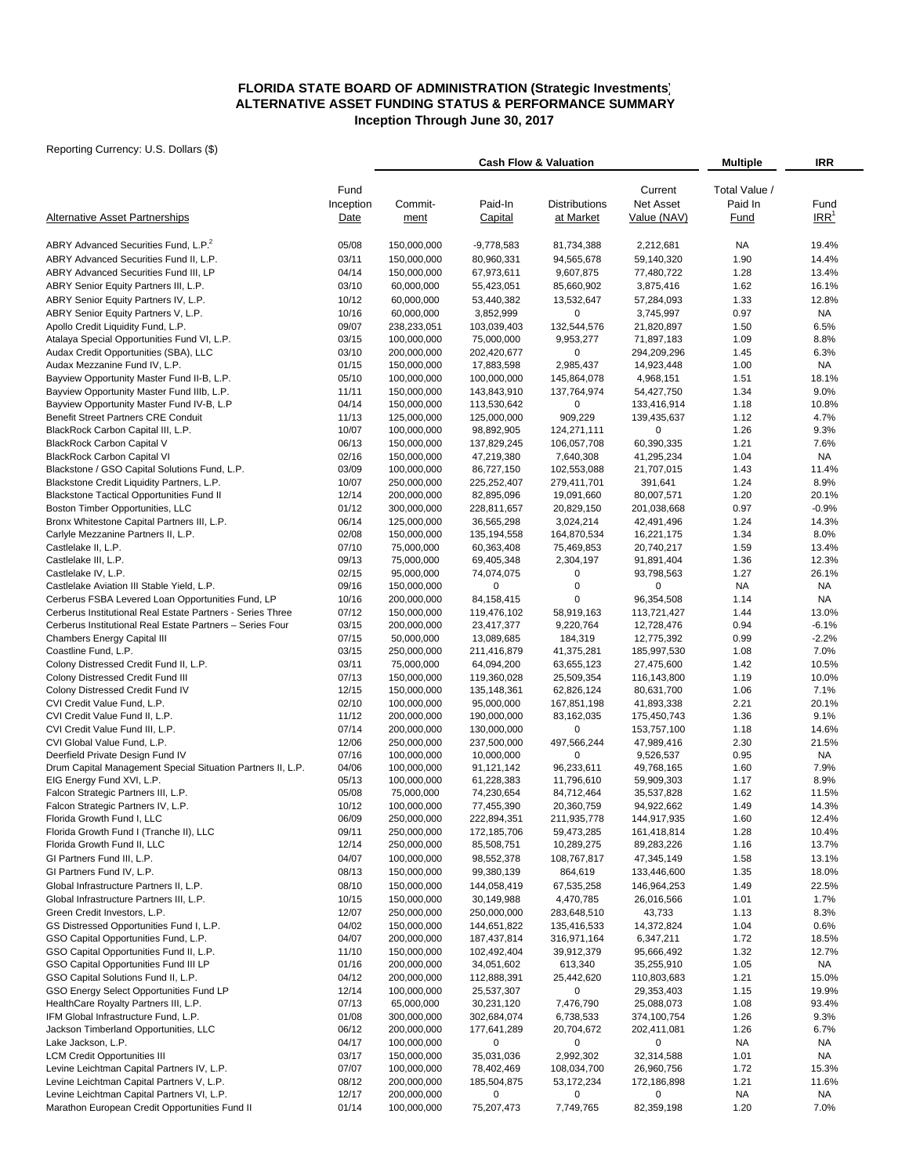# **ALTERNATIVE ASSET FUNDING STATUS & PERFORMANCE SUMMARY Inception Through June 30, 2017 FLORIDA STATE BOARD OF ADMINISTRATION (Strategic Investments)**

|                                                                                         |                   | <b>Cash Flow &amp; Valuation</b> |                           | <b>Multiple</b>           | IRR                         |                          |                    |
|-----------------------------------------------------------------------------------------|-------------------|----------------------------------|---------------------------|---------------------------|-----------------------------|--------------------------|--------------------|
|                                                                                         | Fund<br>Inception | Commit-                          | Paid-In                   | <b>Distributions</b>      | Current<br><b>Net Asset</b> | Total Value /<br>Paid In | Fund               |
| <b>Alternative Asset Partnerships</b>                                                   | Date              | ment                             | Capital                   | at Market                 | Value (NAV)                 | Fund                     | IRR <sup>1</sup>   |
| ABRY Advanced Securities Fund, L.P. <sup>2</sup>                                        | 05/08             | 150,000,000                      | $-9,778,583$              | 81,734,388                | 2,212,681                   | <b>NA</b>                | 19.4%              |
| ABRY Advanced Securities Fund II, L.P.                                                  | 03/11             | 150,000,000                      | 80,960,331                | 94,565,678                | 59,140,320                  | 1.90                     | 14.4%              |
| ABRY Advanced Securities Fund III, LP                                                   | 04/14             | 150,000,000                      | 67,973,611                | 9,607,875                 | 77,480,722                  | 1.28                     | 13.4%              |
| ABRY Senior Equity Partners III, L.P.                                                   | 03/10             | 60,000,000                       | 55,423,051                | 85,660,902                | 3,875,416                   | 1.62                     | 16.1%              |
| ABRY Senior Equity Partners IV, L.P.                                                    | 10/12             | 60,000,000                       | 53,440,382                | 13,532,647                | 57,284,093                  | 1.33                     | 12.8%              |
| ABRY Senior Equity Partners V, L.P.                                                     | 10/16             | 60,000,000                       | 3,852,999                 | 0                         | 3,745,997                   | 0.97                     | <b>NA</b>          |
| Apollo Credit Liquidity Fund, L.P.                                                      | 09/07             | 238,233,051                      | 103,039,403               | 132,544,576               | 21,820,897                  | 1.50                     | 6.5%               |
| Atalaya Special Opportunities Fund VI, L.P.                                             | 03/15             | 100,000,000                      | 75,000,000                | 9,953,277                 | 71,897,183                  | 1.09                     | 8.8%               |
| Audax Credit Opportunities (SBA), LLC                                                   | 03/10             | 200,000,000                      | 202,420,677               | 0                         | 294,209,296                 | 1.45                     | 6.3%               |
| Audax Mezzanine Fund IV, L.P.<br>Bayview Opportunity Master Fund II-B, L.P.             | 01/15<br>05/10    | 150,000,000<br>100,000,000       | 17,883,598<br>100,000,000 | 2,985,437<br>145,864,078  | 14,923,448<br>4,968,151     | 1.00<br>1.51             | <b>NA</b><br>18.1% |
| Bayview Opportunity Master Fund IIIb, L.P.                                              | 11/11             | 150,000,000                      | 143,843,910               | 137,764,974               | 54,427,750                  | 1.34                     | 9.0%               |
| Bayview Opportunity Master Fund IV-B, L.P                                               | 04/14             | 150,000,000                      | 113,530,642               | 0                         | 133,416,914                 | 1.18                     | 10.8%              |
| Benefit Street Partners CRE Conduit                                                     | 11/13             | 125,000,000                      | 125,000,000               | 909,229                   | 139,435,637                 | 1.12                     | 4.7%               |
| BlackRock Carbon Capital III, L.P.                                                      | 10/07             | 100,000,000                      | 98,892,905                | 124,271,111               | 0                           | 1.26                     | 9.3%               |
| <b>BlackRock Carbon Capital V</b>                                                       | 06/13             | 150,000,000                      | 137,829,245               | 106,057,708               | 60,390,335                  | 1.21                     | 7.6%               |
| <b>BlackRock Carbon Capital VI</b>                                                      | 02/16             | 150,000,000                      | 47,219,380                | 7,640,308                 | 41,295,234                  | 1.04                     | <b>NA</b>          |
| Blackstone / GSO Capital Solutions Fund, L.P.                                           | 03/09             | 100,000,000                      | 86,727,150                | 102,553,088               | 21,707,015                  | 1.43                     | 11.4%              |
| Blackstone Credit Liquidity Partners, L.P.                                              | 10/07             | 250,000,000                      | 225,252,407               | 279,411,701               | 391,641                     | 1.24                     | 8.9%               |
| <b>Blackstone Tactical Opportunities Fund II</b>                                        | 12/14             | 200,000,000                      | 82,895,096                | 19,091,660                | 80,007,571                  | 1.20                     | 20.1%              |
| Boston Timber Opportunities, LLC                                                        | 01/12             | 300,000,000                      | 228,811,657               | 20,829,150                | 201,038,668                 | 0.97                     | $-0.9%$            |
| Bronx Whitestone Capital Partners III, L.P.                                             | 06/14             | 125,000,000                      | 36,565,298                | 3,024,214                 | 42,491,496                  | 1.24                     | 14.3%              |
| Carlyle Mezzanine Partners II, L.P.<br>Castlelake II, L.P.                              | 02/08<br>07/10    | 150,000,000                      | 135, 194, 558             | 164,870,534               | 16,221,175                  | 1.34                     | 8.0%               |
| Castlelake III, L.P.                                                                    | 09/13             | 75,000,000<br>75,000,000         | 60,363,408<br>69,405,348  | 75,469,853<br>2,304,197   | 20,740,217<br>91,891,404    | 1.59<br>1.36             | 13.4%<br>12.3%     |
| Castlelake IV, L.P.                                                                     | 02/15             | 95,000,000                       | 74,074,075                | 0                         | 93,798,563                  | 1.27                     | 26.1%              |
| Castlelake Aviation III Stable Yield, L.P.                                              | 09/16             | 150,000,000                      | $\mathbf 0$               | $\pmb{0}$                 | 0                           | <b>NA</b>                | <b>NA</b>          |
| Cerberus FSBA Levered Loan Opportunities Fund, LP                                       | 10/16             | 200,000,000                      | 84,158,415                | 0                         | 96,354,508                  | 1.14                     | <b>NA</b>          |
| Cerberus Institutional Real Estate Partners - Series Three                              | 07/12             | 150,000,000                      | 119,476,102               | 58,919,163                | 113,721,427                 | 1.44                     | 13.0%              |
| Cerberus Institutional Real Estate Partners - Series Four                               | 03/15             | 200,000,000                      | 23,417,377                | 9,220,764                 | 12,728,476                  | 0.94                     | $-6.1%$            |
| <b>Chambers Energy Capital III</b>                                                      | 07/15             | 50,000,000                       | 13,089,685                | 184,319                   | 12,775,392                  | 0.99                     | $-2.2%$            |
| Coastline Fund, L.P.                                                                    | 03/15             | 250,000,000                      | 211,416,879               | 41,375,281                | 185,997,530                 | 1.08                     | 7.0%               |
| Colony Distressed Credit Fund II, L.P.                                                  | 03/11             | 75,000,000                       | 64,094,200                | 63,655,123                | 27,475,600                  | 1.42                     | 10.5%              |
| Colony Distressed Credit Fund III                                                       | 07/13             | 150,000,000                      | 119,360,028               | 25,509,354                | 116,143,800                 | 1.19                     | 10.0%              |
| Colony Distressed Credit Fund IV                                                        | 12/15             | 150,000,000                      | 135,148,361               | 62,826,124                | 80,631,700                  | 1.06                     | 7.1%               |
| CVI Credit Value Fund, L.P.<br>CVI Credit Value Fund II, L.P.                           | 02/10<br>11/12    | 100,000,000<br>200,000,000       | 95,000,000<br>190,000,000 | 167,851,198<br>83,162,035 | 41,893,338<br>175,450,743   | 2.21<br>1.36             | 20.1%<br>9.1%      |
| CVI Credit Value Fund III, L.P.                                                         | 07/14             | 200,000,000                      | 130,000,000               | $\mathbf 0$               | 153,757,100                 | 1.18                     | 14.6%              |
| CVI Global Value Fund, L.P.                                                             | 12/06             | 250,000,000                      | 237,500,000               | 497,566,244               | 47,989,416                  | 2.30                     | 21.5%              |
| Deerfield Private Design Fund IV                                                        | 07/16             | 100,000,000                      | 10,000,000                | 0                         | 9,526,537                   | 0.95                     | <b>NA</b>          |
| Drum Capital Management Special Situation Partners II, L.P.                             | 04/06             | 100,000,000                      | 91,121,142                | 96,233,611                | 49,768,165                  | 1.60                     | 7.9%               |
| EIG Energy Fund XVI, L.P.                                                               | 05/13             | 100,000,000                      | 61,228,383                | 11,796,610                | 59,909,303                  | 1.17                     | 8.9%               |
| Falcon Strategic Partners III, L.P.                                                     | 05/08             | 75,000,000                       | 74,230,654                | 84,712,464                | 35,537,828                  | 1.62                     | 11.5%              |
| Falcon Strategic Partners IV, L.P.                                                      | 10/12             | 100,000,000                      | 77,455,390                | 20,360,759                | 94,922,662                  | 1.49                     | 14.3%              |
| Florida Growth Fund I, LLC                                                              | 06/09             | 250,000,000                      | 222,894,351               | 211,935,778               | 144,917,935                 | 1.60                     | 12.4%              |
| Florida Growth Fund I (Tranche II), LLC                                                 | 09/11             | 250,000,000                      | 172,185,706               | 59,473,285                | 161,418,814                 | 1.28                     | 10.4%              |
| Florida Growth Fund II, LLC<br>GI Partners Fund III, L.P.                               | 12/14<br>04/07    | 250,000,000                      | 85,508,751                | 10,289,275                | 89,283,226                  | 1.16                     | 13.7%              |
| GI Partners Fund IV, L.P.                                                               | 08/13             | 100,000,000<br>150,000,000       | 98,552,378<br>99,380,139  | 108,767,817<br>864,619    | 47,345,149<br>133,446,600   | 1.58                     | 13.1%<br>18.0%     |
| Global Infrastructure Partners II, L.P.                                                 | 08/10             | 150,000,000                      | 144,058,419               | 67,535,258                | 146,964,253                 | 1.35<br>1.49             | 22.5%              |
| Global Infrastructure Partners III, L.P.                                                | 10/15             | 150,000,000                      | 30,149,988                | 4,470,785                 | 26,016,566                  | 1.01                     | 1.7%               |
| Green Credit Investors, L.P.                                                            | 12/07             | 250,000,000                      | 250,000,000               | 283,648,510               | 43,733                      | 1.13                     | 8.3%               |
| GS Distressed Opportunities Fund I, L.P.                                                | 04/02             | 150,000,000                      | 144,651,822               | 135,416,533               | 14,372,824                  | 1.04                     | 0.6%               |
| GSO Capital Opportunities Fund, L.P.                                                    | 04/07             | 200,000,000                      | 187,437,814               | 316,971,164               | 6,347,211                   | 1.72                     | 18.5%              |
| GSO Capital Opportunities Fund II, L.P.                                                 | 11/10             | 150,000,000                      | 102,492,404               | 39,912,379                | 95,666,492                  | 1.32                     | 12.7%              |
| GSO Capital Opportunities Fund III LP                                                   | 01/16             | 200,000,000                      | 34,051,602                | 613,340                   | 35,255,910                  | 1.05                     | NA                 |
| GSO Capital Solutions Fund II, L.P.                                                     | 04/12             | 200,000,000                      | 112,888,391               | 25,442,620                | 110,803,683                 | 1.21                     | 15.0%              |
| GSO Energy Select Opportunities Fund LP                                                 | 12/14             | 100,000,000                      | 25,537,307                | 0                         | 29,353,403                  | 1.15                     | 19.9%              |
| HealthCare Royalty Partners III, L.P.                                                   | 07/13             | 65,000,000                       | 30,231,120                | 7,476,790                 | 25,088,073                  | 1.08                     | 93.4%              |
| IFM Global Infrastructure Fund, L.P.                                                    | 01/08             | 300,000,000                      | 302,684,074               | 6,738,533                 | 374,100,754                 | 1.26                     | 9.3%               |
| Jackson Timberland Opportunities, LLC                                                   | 06/12             | 200,000,000                      | 177,641,289               | 20,704,672                | 202,411,081                 | 1.26                     | 6.7%               |
| Lake Jackson, L.P.                                                                      | 04/17             | 100,000,000                      | 0                         | 0                         | 0                           | NA                       | NA                 |
| <b>LCM Credit Opportunities III</b>                                                     | 03/17             | 150,000,000                      | 35,031,036                | 2,992,302                 | 32,314,588                  | 1.01                     | <b>NA</b>          |
| Levine Leichtman Capital Partners IV, L.P.<br>Levine Leichtman Capital Partners V, L.P. | 07/07<br>08/12    | 100,000,000<br>200,000,000       | 78,402,469<br>185,504,875 | 108,034,700<br>53,172,234 | 26,960,756<br>172,186,898   | 1.72<br>1.21             | 15.3%<br>11.6%     |
| Levine Leichtman Capital Partners VI, L.P.                                              | 12/17             | 200,000,000                      | 0                         | 0                         | 0                           | NA                       | NA                 |
| Marathon European Credit Opportunities Fund II                                          | 01/14             | 100,000,000                      | 75,207,473                | 7,749,765                 | 82,359,198                  | 1.20                     | 7.0%               |
|                                                                                         |                   |                                  |                           |                           |                             |                          |                    |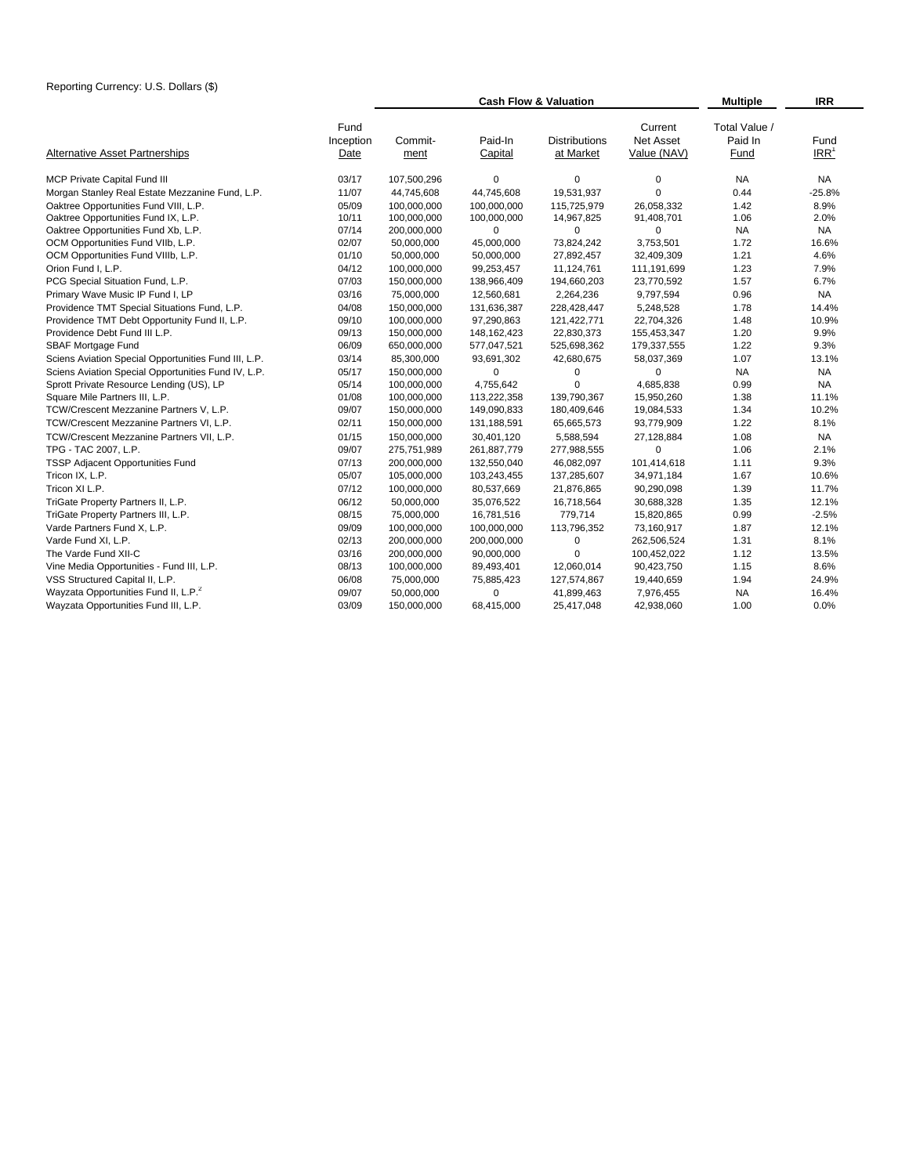|                                                                    |                 | <b>Cash Flow &amp; Valuation</b> | <b>Multiple</b><br><b>IRR</b>     |                                            |                                         |                |
|--------------------------------------------------------------------|-----------------|----------------------------------|-----------------------------------|--------------------------------------------|-----------------------------------------|----------------|
| Fund<br>Inception<br><b>Alternative Asset Partnerships</b><br>Date | Commit-<br>ment | Paid-In<br>Capital               | <b>Distributions</b><br>at Market | Current<br><b>Net Asset</b><br>Value (NAV) | Total Value /<br>Paid In<br><b>Fund</b> | Fund<br>$IRR1$ |
| MCP Private Capital Fund III<br>03/17                              | 107,500,296     | 0                                | $\mathbf 0$                       | 0                                          | <b>NA</b>                               | <b>NA</b>      |
| Morgan Stanley Real Estate Mezzanine Fund, L.P.<br>11/07           | 44.745.608      | 44,745,608                       | 19,531,937                        | $\mathbf 0$                                | 0.44                                    | $-25.8%$       |
| Oaktree Opportunities Fund VIII, L.P.<br>05/09                     | 100,000,000     | 100,000,000                      | 115,725,979                       | 26,058,332                                 | 1.42                                    | 8.9%           |
| Oaktree Opportunities Fund IX, L.P.<br>10/11                       | 100,000,000     | 100,000,000                      | 14,967,825                        | 91,408,701                                 | 1.06                                    | 2.0%           |
| Oaktree Opportunities Fund Xb, L.P.<br>07/14                       | 200,000,000     | 0                                | $\Omega$                          | $\Omega$                                   | <b>NA</b>                               | <b>NA</b>      |
| OCM Opportunities Fund VIIb, L.P.<br>02/07                         | 50,000,000      | 45,000,000                       | 73,824,242                        | 3,753,501                                  | 1.72                                    | 16.6%          |
| 01/10<br>OCM Opportunities Fund VIIIb, L.P.                        | 50,000,000      | 50,000,000                       | 27,892,457                        | 32,409,309                                 | 1.21                                    | 4.6%           |
| Orion Fund I, L.P.<br>04/12                                        | 100,000,000     | 99,253,457                       | 11,124,761                        | 111,191,699                                | 1.23                                    | 7.9%           |
| PCG Special Situation Fund, L.P.<br>07/03                          | 150,000,000     | 138,966,409                      | 194,660,203                       | 23,770,592                                 | 1.57                                    | 6.7%           |
| Primary Wave Music IP Fund I, LP<br>03/16                          | 75,000,000      | 12,560,681                       | 2,264,236                         | 9,797,594                                  | 0.96                                    | <b>NA</b>      |
| Providence TMT Special Situations Fund, L.P.<br>04/08              | 150,000,000     | 131,636,387                      | 228,428,447                       | 5,248,528                                  | 1.78                                    | 14.4%          |
| Providence TMT Debt Opportunity Fund II, L.P.<br>09/10             | 100,000,000     | 97,290,863                       | 121,422,771                       | 22,704,326                                 | 1.48                                    | 10.9%          |
| Providence Debt Fund III L.P.<br>09/13                             | 150,000,000     | 148, 162, 423                    | 22,830,373                        | 155,453,347                                | 1.20                                    | 9.9%           |
| SBAF Mortgage Fund<br>06/09                                        | 650,000,000     | 577,047,521                      | 525,698,362                       | 179,337,555                                | 1.22                                    | 9.3%           |
| Sciens Aviation Special Opportunities Fund III, L.P.<br>03/14      | 85,300,000      | 93,691,302                       | 42,680,675                        | 58,037,369                                 | 1.07                                    | 13.1%          |
| Sciens Aviation Special Opportunities Fund IV, L.P.<br>05/17       | 150,000,000     | $\mathbf 0$                      | 0                                 | 0                                          | <b>NA</b>                               | <b>NA</b>      |
| Sprott Private Resource Lending (US), LP<br>05/14                  | 100,000,000     | 4,755,642                        | $\Omega$                          | 4,685,838                                  | 0.99                                    | <b>NA</b>      |
| Square Mile Partners III, L.P.<br>01/08                            | 100,000,000     | 113,222,358                      | 139,790,367                       | 15,950,260                                 | 1.38                                    | 11.1%          |
| 09/07<br>TCW/Crescent Mezzanine Partners V, L.P.                   | 150,000,000     | 149,090,833                      | 180,409,646                       | 19,084,533                                 | 1.34                                    | 10.2%          |
| TCW/Crescent Mezzanine Partners VI, L.P.<br>02/11                  | 150,000,000     | 131,188,591                      | 65,665,573                        | 93,779,909                                 | 1.22                                    | 8.1%           |
| 01/15<br>TCW/Crescent Mezzanine Partners VII, L.P.                 | 150,000,000     | 30,401,120                       | 5,588,594                         | 27,128,884                                 | 1.08                                    | <b>NA</b>      |
| TPG - TAC 2007, L.P.<br>09/07                                      | 275,751,989     | 261,887,779                      | 277,988,555                       | 0                                          | 1.06                                    | 2.1%           |
| 07/13<br>TSSP Adjacent Opportunities Fund                          | 200,000,000     | 132,550,040                      | 46,082,097                        | 101,414,618                                | 1.11                                    | 9.3%           |
| 05/07<br>Tricon IX, L.P.                                           | 105,000,000     | 103,243,455                      | 137,285,607                       | 34,971,184                                 | 1.67                                    | 10.6%          |
| Tricon XI L.P.<br>07/12                                            | 100,000,000     | 80,537,669                       | 21,876,865                        | 90,290,098                                 | 1.39                                    | 11.7%          |
| 06/12<br>TriGate Property Partners II, L.P.                        | 50,000,000      | 35,076,522                       | 16,718,564                        | 30,688,328                                 | 1.35                                    | 12.1%          |
| TriGate Property Partners III, L.P.<br>08/15                       | 75,000,000      | 16,781,516                       | 779,714                           | 15,820,865                                 | 0.99                                    | $-2.5%$        |
| Varde Partners Fund X, L.P.<br>09/09                               | 100,000,000     | 100,000,000                      | 113,796,352                       | 73,160,917                                 | 1.87                                    | 12.1%          |
| 02/13<br>Varde Fund XI. L.P.                                       | 200,000,000     | 200,000,000                      | 0                                 | 262,506,524                                | 1.31                                    | 8.1%           |
| 03/16<br>The Varde Fund XII-C                                      | 200,000,000     | 90,000,000                       | 0                                 | 100,452,022                                | 1.12                                    | 13.5%          |
| Vine Media Opportunities - Fund III, L.P.<br>08/13                 | 100,000,000     | 89,493,401                       | 12,060,014                        | 90,423,750                                 | 1.15                                    | 8.6%           |
| VSS Structured Capital II, L.P.<br>06/08                           | 75,000,000      | 75,885,423                       | 127,574,867                       | 19,440,659                                 | 1.94                                    | 24.9%          |
| Wayzata Opportunities Fund II, L.P. <sup>2</sup><br>09/07          | 50,000,000      | $\mathbf 0$                      | 41,899,463                        | 7,976,455                                  | <b>NA</b>                               | 16.4%          |
| 03/09<br>Wayzata Opportunities Fund III, L.P.                      | 150,000,000     | 68,415,000                       | 25,417,048                        | 42,938,060                                 | 1.00                                    | 0.0%           |